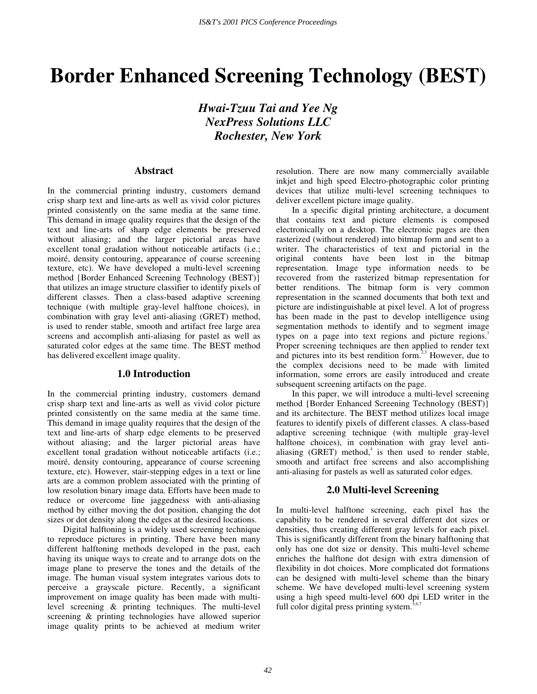# **Border Enhanced Screening Technology (BEST)**

*Hwai-Tzuu Tai and Yee Ng NexPress Solutions LLC Rochester, New York* 

## **Abstract**

In the commercial printing industry, customers demand crisp sharp text and line-arts as well as vivid color pictures printed consistently on the same media at the same time. This demand in image quality requires that the design of the text and line-arts of sharp edge elements be preserved without aliasing; and the larger pictorial areas have excellent tonal gradation without noticeable artifacts (i.e.; moiré, density contouring, appearance of course screening texture, etc). We have developed a multi-level screening method {Border Enhanced Screening Technology (BEST)} that utilizes an image structure classifier to identify pixels of different classes. Then a class-based adaptive screening technique (with multiple gray-level halftone choices), in combination with gray level anti-aliasing (GRET) method, is used to render stable, smooth and artifact free large area screens and accomplish anti-aliasing for pastel as well as saturated color edges at the same time. The BEST method has delivered excellent image quality.

# **1.0 Introduction**

In the commercial printing industry, customers demand crisp sharp text and line-arts as well as vivid color picture printed consistently on the same media at the same time. This demand in image quality requires that the design of the text and line-arts of sharp edge elements to be preserved without aliasing; and the larger pictorial areas have excellent tonal gradation without noticeable artifacts (i.e.; moiré, density contouring, appearance of course screening texture, etc). However, stair-stepping edges in a text or line arts are a common problem associated with the printing of low resolution binary image data. Efforts have been made to reduce or overcome line jaggedness with anti-aliasing method by either moving the dot position, changing the dot sizes or dot density along the edges at the desired locations.

Digital halftoning is a widely used screening technique to reproduce pictures in printing. There have been many different halftoning methods developed in the past, each having its unique ways to create and to arrange dots on the image plane to preserve the tones and the details of the image. The human visual system integrates various dots to perceive a grayscale picture. Recently, a significant improvement on image quality has been made with multilevel screening & printing techniques. The multi-level screening & printing technologies have allowed superior image quality prints to be achieved at medium writer resolution. There are now many commercially available inkjet and high speed Electro-photographic color printing devices that utilize multi-level screening techniques to deliver excellent picture image quality.

In a specific digital printing architecture, a document that contains text and picture elements is composed electronically on a desktop. The electronic pages are then rasterized (without rendered) into bitmap form and sent to a writer. The characteristics of text and pictorial in the original contents have been lost in the bitmap representation. Image type information needs to be recovered from the rasterized bitmap representation for better renditions. The bitmap form is very common representation in the scanned documents that both text and picture are indistinguishable at pixel level. A lot of progress has been made in the past to develop intelligence using segmentation methods to identify and to segment image types on a page into text regions and picture regions.<sup>1</sup> Proper screening techniques are then applied to render text and pictures into its best rendition form.<sup>2,3</sup> However, due to the complex decisions need to be made with limited information, some errors are easily introduced and create subsequent screening artifacts on the page.

In this paper, we will introduce a multi-level screening method {Border Enhanced Screening Technology (BEST)} and its architecture. The BEST method utilizes local image features to identify pixels of different classes. A class-based adaptive screening technique (with multiple gray-level halftone choices), in combination with gray level antialiasing  $(GRET)$  method,<sup>4</sup> is then used to render stable, smooth and artifact free screens and also accomplishing anti-aliasing for pastels as well as saturated color edges.

## **2.0 Multi-level Screening**

In multi-level halftone screening, each pixel has the capability to be rendered in several different dot sizes or densities, thus creating different gray levels for each pixel. This is significantly different from the binary halftoning that only has one dot size or density. This multi-level scheme enriches the halftone dot design with extra dimension of flexibility in dot choices. More complicated dot formations can be designed with multi-level scheme than the binary scheme. We have developed multi-level screening system using a high speed multi-level 600 dpi LED writer in the full color digital press printing system.<sup>5</sup>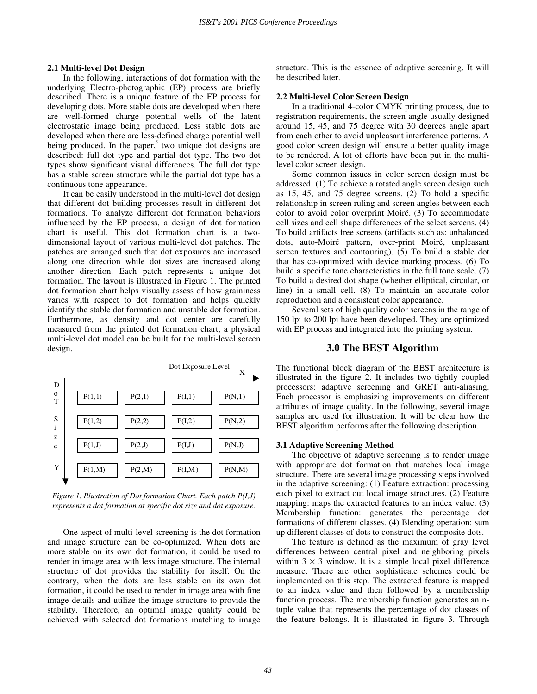## **2.1 Multi-level Dot Design**

In the following, interactions of dot formation with the underlying Electro-photographic (EP) process are briefly described. There is a unique feature of the EP process for developing dots. More stable dots are developed when there are well-formed charge potential wells of the latent electrostatic image being produced. Less stable dots are developed when there are less-defined charge potential well being produced. In the paper, $5$  two unique dot designs are described: full dot type and partial dot type. The two dot types show significant visual differences. The full dot type has a stable screen structure while the partial dot type has a continuous tone appearance.

It can be easily understood in the multi-level dot design that different dot building processes result in different dot formations. To analyze different dot formation behaviors influenced by the EP process, a design of dot formation chart is useful. This dot formation chart is a twodimensional layout of various multi-level dot patches. The patches are arranged such that dot exposures are increased along one direction while dot sizes are increased along another direction. Each patch represents a unique dot formation. The layout is illustrated in Figure 1. The printed dot formation chart helps visually assess of how graininess varies with respect to dot formation and helps quickly identify the stable dot formation and unstable dot formation. Furthermore, as density and dot center are carefully measured from the printed dot formation chart, a physical multi-level dot model can be built for the multi-level screen design.



*Figure 1. Illustration of Dot formation Chart. Each patch P(I,J) represents a dot formation at specific dot size and dot exposure.* 

One aspect of multi-level screening is the dot formation and image structure can be co-optimized. When dots are more stable on its own dot formation, it could be used to render in image area with less image structure. The internal structure of dot provides the stability for itself. On the contrary, when the dots are less stable on its own dot formation, it could be used to render in image area with fine image details and utilize the image structure to provide the stability. Therefore, an optimal image quality could be achieved with selected dot formations matching to image

structure. This is the essence of adaptive screening. It will be described later.

## **2.2 Multi-level Color Screen Design**

In a traditional 4-color CMYK printing process, due to registration requirements, the screen angle usually designed around 15, 45, and 75 degree with 30 degrees angle apart from each other to avoid unpleasant interference patterns. A good color screen design will ensure a better quality image to be rendered. A lot of efforts have been put in the multilevel color screen design.

Some common issues in color screen design must be addressed: (1) To achieve a rotated angle screen design such as 15, 45, and 75 degree screens. (2) To hold a specific relationship in screen ruling and screen angles between each color to avoid color overprint Moiré. (3) To accommodate cell sizes and cell shape differences of the select screens. (4) To build artifacts free screens (artifacts such as: unbalanced dots, auto-Moiré pattern, over-print Moiré, unpleasant screen textures and contouring). (5) To build a stable dot that has co-optimized with device marking process. (6) To build a specific tone characteristics in the full tone scale. (7) To build a desired dot shape (whether elliptical, circular, or line) in a small cell. (8) To maintain an accurate color reproduction and a consistent color appearance.

Several sets of high quality color screens in the range of 150 lpi to 200 lpi have been developed. They are optimized with EP process and integrated into the printing system.

## **3.0 The BEST Algorithm**

The functional block diagram of the BEST architecture is illustrated in the figure 2. It includes two tightly coupled processors: adaptive screening and GRET anti-aliasing. Each processor is emphasizing improvements on different attributes of image quality. In the following, several image samples are used for illustration. It will be clear how the BEST algorithm performs after the following description.

#### **3.1 Adaptive Screening Method**

The objective of adaptive screening is to render image with appropriate dot formation that matches local image structure. There are several image processing steps involved in the adaptive screening: (1) Feature extraction: processing each pixel to extract out local image structures. (2) Feature mapping: maps the extracted features to an index value. (3) Membership function: generates the percentage dot formations of different classes. (4) Blending operation: sum up different classes of dots to construct the composite dots.

The feature is defined as the maximum of gray level differences between central pixel and neighboring pixels within  $3 \times 3$  window. It is a simple local pixel difference measure. There are other sophisticate schemes could be implemented on this step. The extracted feature is mapped to an index value and then followed by a membership function process. The membership function generates an ntuple value that represents the percentage of dot classes of the feature belongs. It is illustrated in figure 3. Through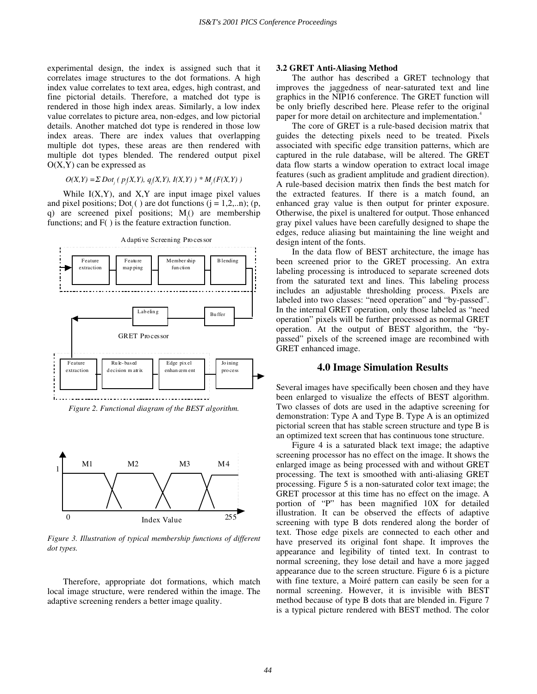experimental design, the index is assigned such that it correlates image structures to the dot formations. A high index value correlates to text area, edges, high contrast, and fine pictorial details. Therefore, a matched dot type is rendered in those high index areas. Similarly, a low index value correlates to picture area, non-edges, and low pictorial details. Another matched dot type is rendered in those low index areas. There are index values that overlapping multiple dot types, these areas are then rendered with multiple dot types blended. The rendered output pixel  $O(X, Y)$  can be expressed as

 $O(X,Y) = \sum Dot_j$  (  $p_j(X,Y)$ ,  $q_j(X,Y)$ ,  $I(X,Y)$  ) \*  $M_j(F(X,Y)$  )

While  $I(X, Y)$ , and  $X, Y$  are input image pixel values and pixel positions; Dot<sub>i</sub>( ) are dot functions  $(j = 1,2,...n)$ ; (p, q) are screened pixel positions;  $M_j()$  are membership functions; and F( ) is the feature extraction function.



*Figure 2. Functional diagram of the BEST algorithm.* 



*Figure 3. Illustration of typical membership functions of different dot types.* 

Therefore, appropriate dot formations, which match local image structure, were rendered within the image. The adaptive screening renders a better image quality.

#### **3.2 GRET Anti-Aliasing Method**

The author has described a GRET technology that improves the jaggedness of near-saturated text and line graphics in the NIP16 conference. The GRET function will be only briefly described here. Please refer to the original paper for more detail on architecture and implementation.<sup>4</sup>

The core of GRET is a rule-based decision matrix that guides the detecting pixels need to be treated. Pixels associated with specific edge transition patterns, which are captured in the rule database, will be altered. The GRET data flow starts a window operation to extract local image features (such as gradient amplitude and gradient direction). A rule-based decision matrix then finds the best match for the extracted features. If there is a match found, an enhanced gray value is then output for printer exposure. Otherwise, the pixel is unaltered for output. Those enhanced gray pixel values have been carefully designed to shape the edges, reduce aliasing but maintaining the line weight and design intent of the fonts.

In the data flow of BEST architecture, the image has been screened prior to the GRET processing. An extra labeling processing is introduced to separate screened dots from the saturated text and lines. This labeling process includes an adjustable thresholding process. Pixels are labeled into two classes: "need operation" and "by-passed". In the internal GRET operation, only those labeled as " need operation" pixels will be further processed as normal GRET operation. At the output of BEST algorithm, the "bypassed" pixels of the screened image are recombined with GRET enhanced image.

## **4.0 Image Simulation Results**

Several images have specifically been chosen and they have been enlarged to visualize the effects of BEST algorithm. Two classes of dots are used in the adaptive screening for demonstration: Type A and Type B. Type A is an optimized pictorial screen that has stable screen structure and type B is an optimized text screen that has continuous tone structure.

Figure 4 is a saturated black text image; the adaptive screening processor has no effect on the image. It shows the enlarged image as being processed with and without GRET processing. The text is smoothed with anti-aliasing GRET processing. Figure 5 is a non-saturated color text image; the GRET processor at this time has no effect on the image. A portion of "P" has been magnified 10X for detailed illustration. It can be observed the effects of adaptive screening with type B dots rendered along the border of text. Those edge pixels are connected to each other and have preserved its original font shape. It improves the appearance and legibility of tinted text. In contrast to normal screening, they lose detail and have a more jagged appearance due to the screen structure. Figure 6 is a picture with fine texture, a Moiré pattern can easily be seen for a normal screening. However, it is invisible with BEST method because of type B dots that are blended in. Figure 7 is a typical picture rendered with BEST method. The color